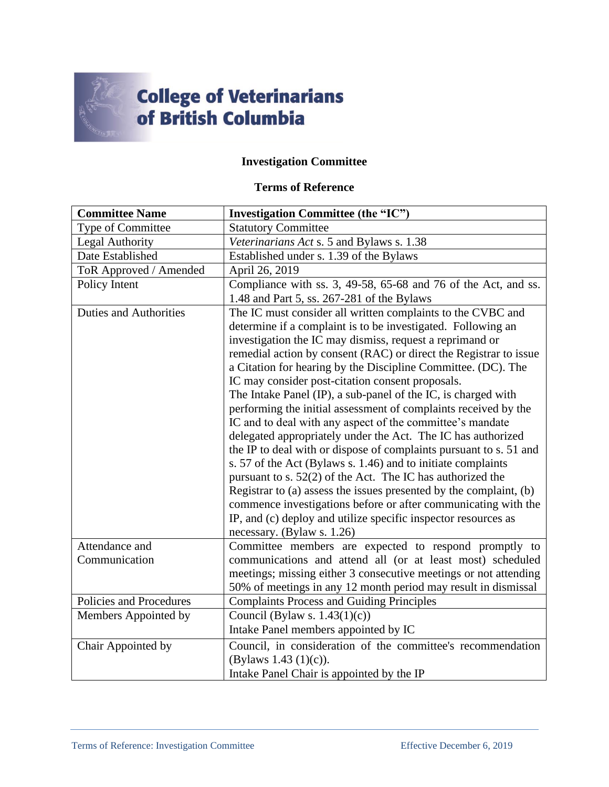

## **College of Veterinarians<br>of British Columbia**

## **Investigation Committee**

## **Terms of Reference**

| <b>Committee Name</b>         | <b>Investigation Committee (the "IC")</b>                          |
|-------------------------------|--------------------------------------------------------------------|
| Type of Committee             | <b>Statutory Committee</b>                                         |
| <b>Legal Authority</b>        | Veterinarians Act s. 5 and Bylaws s. 1.38                          |
| Date Established              | Established under s. 1.39 of the Bylaws                            |
| ToR Approved / Amended        | April 26, 2019                                                     |
| Policy Intent                 | Compliance with ss. 3, 49-58, 65-68 and 76 of the Act, and ss.     |
|                               | 1.48 and Part 5, ss. 267-281 of the Bylaws                         |
| <b>Duties and Authorities</b> | The IC must consider all written complaints to the CVBC and        |
|                               | determine if a complaint is to be investigated. Following an       |
|                               | investigation the IC may dismiss, request a reprimand or           |
|                               | remedial action by consent (RAC) or direct the Registrar to issue  |
|                               | a Citation for hearing by the Discipline Committee. (DC). The      |
|                               | IC may consider post-citation consent proposals.                   |
|                               | The Intake Panel (IP), a sub-panel of the IC, is charged with      |
|                               | performing the initial assessment of complaints received by the    |
|                               | IC and to deal with any aspect of the committee's mandate          |
|                               | delegated appropriately under the Act. The IC has authorized       |
|                               | the IP to deal with or dispose of complaints pursuant to s. 51 and |
|                               | s. 57 of the Act (Bylaws s. 1.46) and to initiate complaints       |
|                               | pursuant to s. 52(2) of the Act. The IC has authorized the         |
|                               | Registrar to (a) assess the issues presented by the complaint, (b) |
|                               | commence investigations before or after communicating with the     |
|                               | IP, and (c) deploy and utilize specific inspector resources as     |
|                               | necessary. (Bylaw s. 1.26)                                         |
| Attendance and                | Committee members are expected to respond promptly to              |
| Communication                 | communications and attend all (or at least most) scheduled         |
|                               | meetings; missing either 3 consecutive meetings or not attending   |
|                               | 50% of meetings in any 12 month period may result in dismissal     |
| Policies and Procedures       | <b>Complaints Process and Guiding Principles</b>                   |
| Members Appointed by          | Council (Bylaw s. $1.43(1)(c)$ )                                   |
|                               | Intake Panel members appointed by IC                               |
| Chair Appointed by            | Council, in consideration of the committee's recommendation        |
|                               | (Bylaws 1.43 $(1)(c)$ ).                                           |
|                               | Intake Panel Chair is appointed by the IP                          |